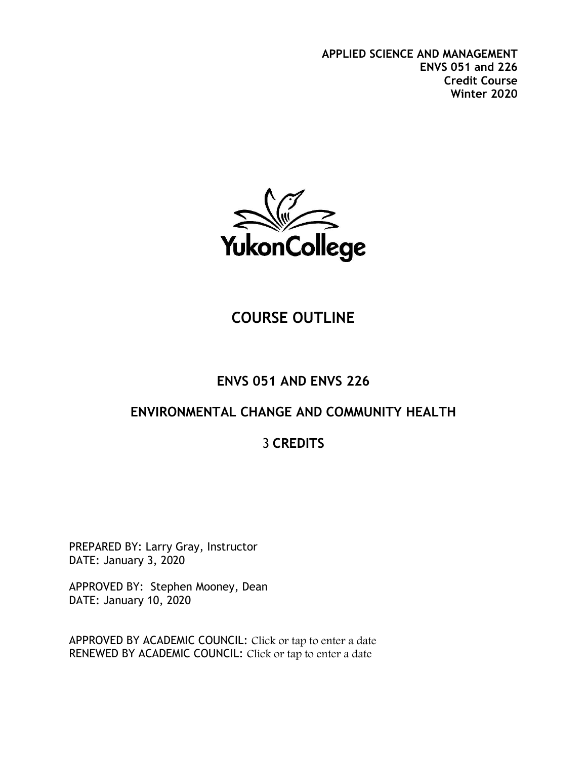**APPLIED SCIENCE AND MANAGEMENT ENVS 051 and 226 Credit Course Winter 2020**



# **COURSE OUTLINE**

# **ENVS 051 AND ENVS 226**

# **ENVIRONMENTAL CHANGE AND COMMUNITY HEALTH**

# 3 **CREDITS**

PREPARED BY: Larry Gray, Instructor DATE: January 3, 2020

APPROVED BY: Stephen Mooney, Dean DATE: January 10, 2020

APPROVED BY ACADEMIC COUNCIL: Click or tap to enter a date RENEWED BY ACADEMIC COUNCIL: Click or tap to enter a date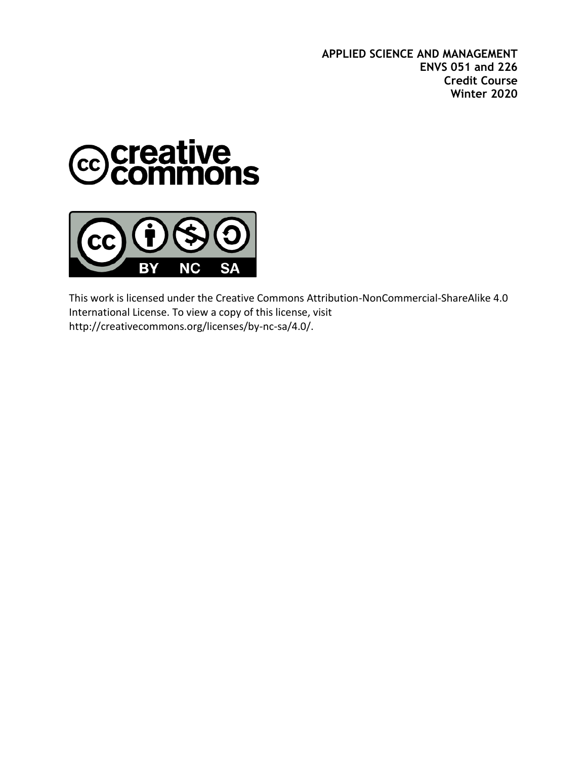**APPLIED SCIENCE AND MANAGEMENT ENVS 051 and 226 Credit Course Winter 2020**





This work is licensed under the Creative Commons Attribution-NonCommercial-ShareAlike 4.0 International License. To view a copy of this license, visit http://creativecommons.org/licenses/by-nc-sa/4.0/.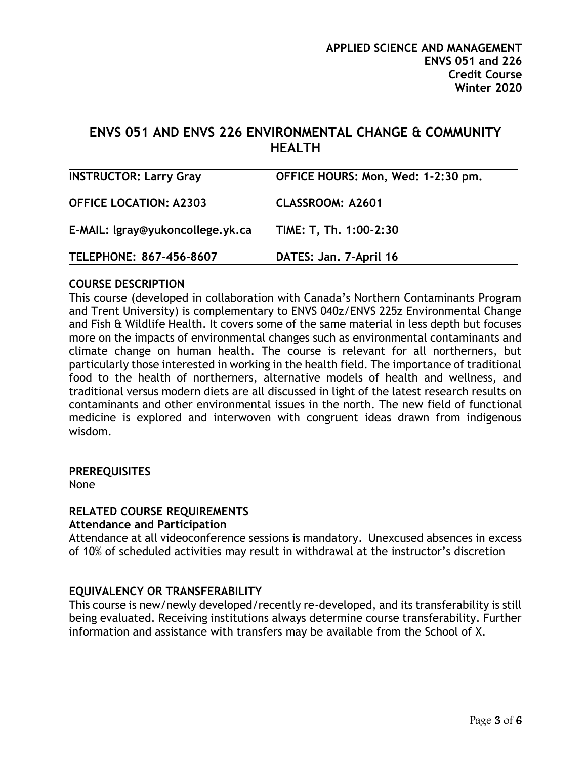## **ENVS 051 AND ENVS 226 ENVIRONMENTAL CHANGE & COMMUNITY HEALTH**

| <b>INSTRUCTOR: Larry Gray</b>    | OFFICE HOURS: Mon, Wed: 1-2:30 pm. |
|----------------------------------|------------------------------------|
| <b>OFFICE LOCATION: A2303</b>    | <b>CLASSROOM: A2601</b>            |
| E-MAIL: Igray@yukoncollege.yk.ca | TIME: T, Th. 1:00-2:30             |
| TELEPHONE: 867-456-8607          | DATES: Jan. 7-April 16             |

#### **COURSE DESCRIPTION**

This course (developed in collaboration with Canada's Northern Contaminants Program and Trent University) is complementary to ENVS 040z/ENVS 225z Environmental Change and Fish & Wildlife Health. It covers some of the same material in less depth but focuses more on the impacts of environmental changes such as environmental contaminants and climate change on human health. The course is relevant for all northerners, but particularly those interested in working in the health field. The importance of traditional food to the health of northerners, alternative models of health and wellness, and traditional versus modern diets are all discussed in light of the latest research results on contaminants and other environmental issues in the north. The new field of functional medicine is explored and interwoven with congruent ideas drawn from indigenous wisdom.

#### **PREREQUISITES**

None

#### **RELATED COURSE REQUIREMENTS**

#### **Attendance and Participation**

Attendance at all videoconference sessions is mandatory. Unexcused absences in excess of 10% of scheduled activities may result in withdrawal at the instructor's discretion

#### **EQUIVALENCY OR TRANSFERABILITY**

This course is new/newly developed/recently re-developed, and its transferability is still being evaluated. Receiving institutions always determine course transferability. Further information and assistance with transfers may be available from the School of X.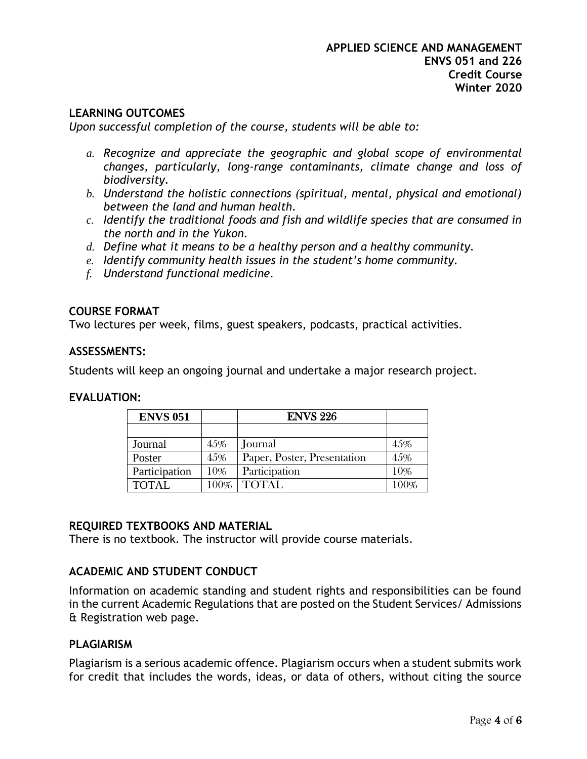#### **LEARNING OUTCOMES**

*Upon successful completion of the course, students will be able to:*

- *a. Recognize and appreciate the geographic and global scope of environmental changes, particularly, long-range contaminants, climate change and loss of biodiversity.*
- *b. Understand the holistic connections (spiritual, mental, physical and emotional) between the land and human health.*
- *c. Identify the traditional foods and fish and wildlife species that are consumed in the north and in the Yukon.*
- *d. Define what it means to be a healthy person and a healthy community.*
- *e. Identify community health issues in the student's home community.*
- *f. Understand functional medicine.*

#### **COURSE FORMAT**

Two lectures per week, films, guest speakers, podcasts, practical activities.

#### **ASSESSMENTS:**

Students will keep an ongoing journal and undertake a major research project.

#### **EVALUATION:**

| <b>ENVS 051</b> |      | <b>ENVS 226</b>             |      |
|-----------------|------|-----------------------------|------|
|                 |      |                             |      |
| Journal         | 45%  | Journal                     | 45%  |
| Poster          | 45%  | Paper, Poster, Presentation | 45%  |
| Participation   | 10%  | Participation               | 10%  |
| <b>TOTAL</b>    | 100% | <b>TOTAL</b>                | 100% |

#### **REQUIRED TEXTBOOKS AND MATERIAL**

There is no textbook. The instructor will provide course materials.

#### **ACADEMIC AND STUDENT CONDUCT**

Information on academic standing and student rights and responsibilities can be found in the current Academic Regulations that are posted on the Student Services/ Admissions & Registration web page.

#### **PLAGIARISM**

Plagiarism is a serious academic offence. Plagiarism occurs when a student submits work for credit that includes the words, ideas, or data of others, without citing the source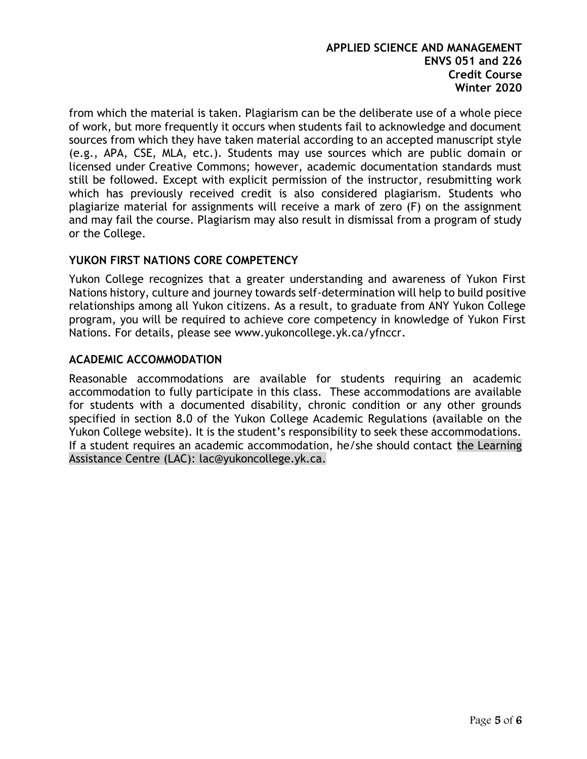from which the material is taken. Plagiarism can be the deliberate use of a whole piece of work, but more frequently it occurs when students fail to acknowledge and document sources from which they have taken material according to an accepted manuscript style (e.g., APA, CSE, MLA, etc.). Students may use sources which are public domain or licensed under Creative Commons; however, academic documentation standards must still be followed. Except with explicit permission of the instructor, resubmitting work which has previously received credit is also considered plagiarism. Students who plagiarize material for assignments will receive a mark of zero (F) on the assignment and may fail the course. Plagiarism may also result in dismissal from a program of study or the College.

#### **YUKON FIRST NATIONS CORE COMPETENCY**

Yukon College recognizes that a greater understanding and awareness of Yukon First Nations history, culture and journey towards self-determination will help to build positive relationships among all Yukon citizens. As a result, to graduate from ANY Yukon College program, you will be required to achieve core competency in knowledge of Yukon First Nations. For details, please see [www.yukoncollege.yk.ca/yfnccr.](http://www.yukoncollege.yk.ca/yfnccr)

#### **ACADEMIC ACCOMMODATION**

Reasonable accommodations are available for students requiring an academic accommodation to fully participate in this class. These accommodations are available for students with a documented disability, chronic condition or any other grounds specified in section 8.0 of the Yukon College Academic Regulations (available on the Yukon College website). It is the student's responsibility to seek these accommodations. If a student requires an academic accommodation, he/she should contact the Learning Assistance Centre (LAC): lac@yukoncollege.yk.ca.